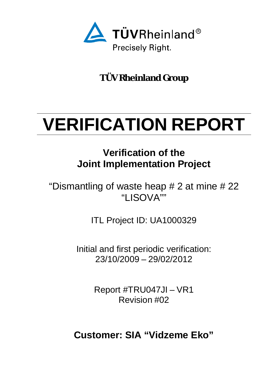<span id="page-0-0"></span>

**TÜV Rheinland Group**

# <span id="page-0-1"></span>**VERIFICATION REPORT**

## **Verification of the Joint Implementation Project**

"Dismantling of waste heap  $# 2$  at mine  $# 22$ "LISOVA""

ITL Project ID: UA1000329

Initial and first periodic verification: 23/10/2009 – 29/02/2012

> Report #TRU047JI – VR1 Revision #02

**Customer: SIA "Vidzeme Eko"**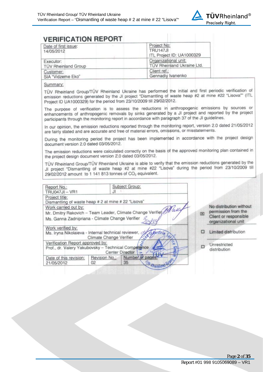

| Date of first issue:<br>14/05/2012 | Project No:<br><b>TRU147JI</b><br>ITL Project ID: UA1000329 |  |
|------------------------------------|-------------------------------------------------------------|--|
| Executor:                          | Organizational unit:                                        |  |
| TÜV Rheinland Group                | TÜV Rheinland Ukraine Ltd.                                  |  |
| Customer:                          | Client ref.:                                                |  |
| SIA "Vidzeme Eko"                  | Gennadiy Ivanenko                                           |  |

#### Summary:

TÜV Rheinland Group/TÜV Rheinland Ukraine has performed the initial and first periodic verification of emission reductions generated by the JI project "Dismantling of waste heap #2 at mine #22 "Lisova"" (ITL Project ID UA1000329) for the period from 23/10/2009 till 29/02/2012.

The purpose of verification is to assess the reductions in anthropogenic emissions by sources or enhancements of anthropogenic removals by sinks generated by a JI project and reported by the project participants through the monitoring report in accordance with paragraph 37 of the JI guidelines.

In our opinion, the emission reductions reported through the monitoring report, version 2.0 dated 21/05/2012 are fairly stated and are accurate and free of material errors, omissions, or misstatements.

During the monitoring period the project has been implemented in accordance with the project design document version 2.0 dated 03/05/2012.

The emission reductions were calculated correctly on the basis of the approved monitoring plan contained in the project design document version 2.0 dated 03/05/2012.

TÜV Rheinland Group/TÜV Rheinland Ukraine is able to verify that the emission reductions generated by the Journal of the minimal of wastelling of wastelling the minimal of the term of the entrancement of the period from 23/10/2009 till 29/02/2012 amount to 1 141 813 tonnes of CO<sub>2</sub> equivalent.

| Report No.:<br><b>TRU047JI-VR1</b>   | Subject Group:<br>J۱                                                                                                |   |                                                                         |
|--------------------------------------|---------------------------------------------------------------------------------------------------------------------|---|-------------------------------------------------------------------------|
| Project title:                       | Dismantling of waste heap # 2 at mine # 22 "Lisova"                                                                 |   |                                                                         |
| Work carried out by:                 | Mr. Dmitry Rakovich - Team Leader, Climate Change Verifier Mally<br>Ms. Ganna Zadnipriana - Climate Change Verifier | 図 | No distribution without<br>permission from the<br>Client or responsible |
| Work verified by:                    |                                                                                                                     |   | organizational unit                                                     |
|                                      | Sans Wabustrie<br>Ms. Iryna Nikolaieva - Internal technical reviewer, d<br>Climate Change Verifier                  |   | Limited distribution                                                    |
| Verification Report approved by:     | Prof., dr. Valery Yakubovsky - Technical Competence<br><b>Center Director</b>                                       |   | Unrestricted<br>distribution                                            |
| Date of this revision:<br>21/05/2012 | Number of pages!<br>Revision No.:<br>35<br>02<br>W Rheinley                                                         |   |                                                                         |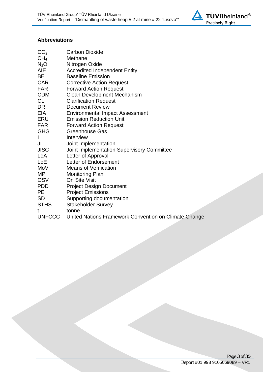

#### **Abbreviations**

| CO <sub>2</sub> | <b>Carbon Dioxide</b>                          |
|-----------------|------------------------------------------------|
| CH <sub>4</sub> | Methane                                        |
| $N_2O$          | Nitrogen Oxide                                 |
| AIE             | <b>Accredited Independent Entity</b>           |
| BЕ              | <b>Baseline Emission</b>                       |
| <b>CAR</b>      | <b>Corrective Action Request</b>               |
| FAR             | <b>Forward Action Request</b>                  |
| <b>CDM</b>      | <b>Clean Development Mechanism</b>             |
| CL              | <b>Clarification Request</b>                   |
| DR              | <b>Document Review</b>                         |
| EIA             | <b>Environmental Impact Assessment</b>         |
| ERU             | <b>Emission Reduction Unit</b>                 |
| FAR             | <b>Forward Action Request</b>                  |
| GHG             | <b>Greenhouse Gas</b>                          |
| I               | Interview                                      |
| JI              | Joint Implementation                           |
| JISC            | Joint Implementation Supervisory Committee     |
| LoA             | Letter of Approval                             |
| LoE             | Letter of Endorsement                          |
| MoV             | <b>Means of Verification</b>                   |
| MΡ              | <b>Monitoring Plan</b>                         |
| OSV             | On Site Visit                                  |
| PDD             | <b>Project Design Document</b>                 |
| PE              | <b>Project Emissions</b>                       |
| <b>SD</b>       | Supporting documentation                       |
| STHS            | <b>Stakeholder Survey</b>                      |
| t               | tonne                                          |
| <b>UNFCCC</b>   | United Nations Framework Convention on Climate |

Change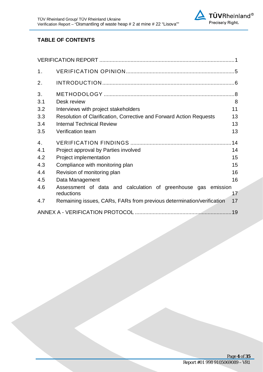

## **TABLE OF CONTENTS**

| 1.  |                                                                             |    |
|-----|-----------------------------------------------------------------------------|----|
| 2.  |                                                                             |    |
| 3.  |                                                                             |    |
| 3.1 | Desk review                                                                 | 8  |
| 3.2 | Interviews with project stakeholders                                        | 11 |
| 3.3 | Resolution of Clarification, Corrective and Forward Action Requests         | 13 |
| 3.4 | <b>Internal Technical Review</b>                                            | 13 |
| 3.5 | <b>Verification team</b>                                                    | 13 |
| 4.  |                                                                             |    |
| 4.1 | Project approval by Parties involved                                        | 14 |
| 4.2 | Project implementation                                                      | 15 |
| 4.3 | Compliance with monitoring plan                                             | 15 |
| 4.4 | Revision of monitoring plan                                                 | 16 |
| 4.5 | Data Management                                                             | 16 |
| 4.6 | Assessment of data and calculation of greenhouse gas emission<br>reductions | 17 |
| 4.7 | Remaining issues, CARs, FARs from previous determination/verification       | 17 |
|     |                                                                             |    |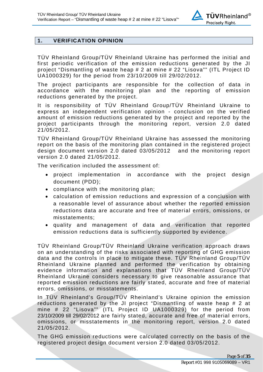

## <span id="page-4-0"></span>**1. VERIFICATION OPINION**

TÜV Rheinland Group/TÜV Rheinland Ukraine has performed the initial and first periodic verification of the emission reductions generated by the JI project "Dismantling of waste heap # 2 at mine # 22 "Lisova"" (ITL Project ID UA1000329) for the period from 23/10/2009 till 29/02/2012.

The project participants are responsible for the collection of data in accordance with the monitoring plan and the reporting of emission reductions generated by the project.

It is responsibility of TÜV Rheinland Group/TÜV Rheinland Ukraine to express an independent verification opinion - conclusion on the verified amount of emission reductions generated by the project and reported by the project participants through the monitoring report, version 2.0 dated 21/05/2012.

TÜV Rheinland Group/TÜV Rheinland Ukraine has assessed the monitoring report on the basis of the monitoring plan contained in the registered project design document version 2.0 dated 03/05/2012 and the monitoring report version 2.0 dated 21/05/2012.

The verification included the assessment of:

- · project implementation in accordance with the project design document (PDD);
- · compliance with the monitoring plan;
- · calculation of emission reductions and expression of a conclusion with a reasonable level of assurance about whether the reported emission reductions data are accurate and free of material errors, omissions, or misstatements;
- · quality and management of data and verification that reported emission reductions data is sufficiently supported by evidence.

TÜV Rheinland Group/TÜV Rheinland Ukraine verification approach draws on an understanding of the risks associated with reporting of GHG emission data and the controls in place to mitigate these. TÜV Rheinland Group/TÜV Rheinland Ukraine planned and performed the verification by obtaining evidence information and explanations that TÜV Rheinland Group/TÜV Rheinland Ukraine considers necessary to give reasonable assurance that reported emission reductions are fairly stated, accurate and free of material errors, omissions, or misstatements.

In TÜV Rheinland's Group/TÜV Rheinland's Ukraine opinion the emission reductions generated by the JI project "Dismantling of waste heap # 2 at mine # 22 "Lisova"" (ITL Project ID UA1000329) for the period from 23/10/2009 till 29/02/2012 are fairly stated, accurate and free of material errors, omissions, or misstatements in the monitoring report, version 2.0 dated 21/05/2012.

The GHG emission reductions were calculated correctly on the basis of the registered project design document version 2.0 dated 03/05/2012.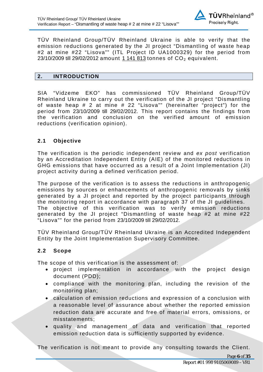

TÜV Rheinland Group/TÜV Rheinland Ukraine is able to verify that the emission reductions generated by the JI project "Dismantling of waste heap #2 at mine #22 "Lisova"" (ITL Project ID UA1000329) for the period from 23/10/2009 till 29/02/2012 amount 1 141 813 tonnes of  $CO<sub>2</sub>$  equivalent.

## <span id="page-5-0"></span>**2. INTRODUCTION**

SIA "Vidzeme EKO" has commissioned TÜV Rheinland Group/TÜV Rheinland Ukraine to carry out the verification of the JI project "Dismantling of waste heap # 2 at mine # 22 "Lisova"" (hereinafter "project") for the period from 23/10/2009 till 29/02/2012. This report contains the findings from the verification and conclusion on the verified amount of emission reductions (verification opinion).

## **2.1 Objective**

The verification is the periodic independent review and *ex post* verification by an Accreditation Independent Entity (AIE) of the monitored reductions in GHG emissions that have occurred as a result of a Joint Implementation (JI) project activity during a defined verification period.

The purpose of the verification is to assess the reductions in anthropogenic emissions by sources or enhancements of anthropogenic removals by sinks generated by a JI project and reported by the project participants through the monitoring report in accordance with paragraph 37 of the JI guidelines. The objective of this verification was to verify emission reductions generated by the JI project "Dismantling of waste heap #2 at mine #22 "Lisova"" for the period from 23/10/2009 till 29/02/2012.

TÜV Rheinland Group/TÜV Rheinland Ukraine is an Accredited Independent Entity by the Joint Implementation Supervisory Committee.

## **2.2 Scope**

The scope of this verification is the assessment of:

- · project implementation in accordance with the project design document (PDD);
- · compliance with the monitoring plan, including the revision of the monitoring plan;
- · calculation of emission reductions and expression of a conclusion with a reasonable level of assurance about whether the reported emission reduction data are accurate and free of material errors, omissions, or misstatements;
- · quality and management of data and verification that reported emission reduction data is sufficiently supported by evidence.

The verification is not meant to provide any consulting towards the Client.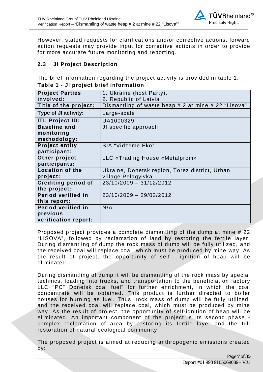

However, stated requests for clarifications and/or corrective actions, forward action requests may provide input for corrective actions in order to provide for more accurate future monitoring and reporting.

## **2.3 JI Project Description**

The brief information regarding the project activity is provided in table 1. **Table 1 - JI project brief information** 

| <b>Project Parties</b>      | 1. Ukraine (host Party).                            |
|-----------------------------|-----------------------------------------------------|
|                             |                                                     |
| involved:                   | 2. Republic of Latvia                               |
| Title of the project:       | Dismantling of waste heap # 2 at mine # 22 "Lisova" |
| <b>Type of JI activity:</b> | Large-scale                                         |
| <b>ITL Project ID:</b>      | UA1000329                                           |
| <b>Baseline and</b>         | JI specific approach                                |
| monitoring                  |                                                     |
| methodology:                |                                                     |
| <b>Project entity</b>       | SIA "Vidzeme Eko"                                   |
| participant:                |                                                     |
| Other project               | LLC «Trading House «Metalprom»                      |
| participants:               |                                                     |
| <b>Location of the</b>      | Ukraine, Donetsk region, Torez district, Urban      |
| project:                    | village Pelagyivka                                  |
| <b>Crediting period of</b>  | $23/10/2009 - 31/12/2012$                           |
| the project:                |                                                     |
| Period verified in          | 23/10/2009 - 29/02/2012                             |
| this report:                |                                                     |
| Period verified in          | N/A                                                 |
| previous                    |                                                     |
| verification report:        |                                                     |

Proposed project provides a complete dismantling of the dump at mine # 22 "LISOVA", followed by reclamation of land by restoring the fertile layer. During dismantling of dump the rock mass of dump will be fully utilized, and the received coal will replace coal, which must be produced by mine way. As the result of project, the opportunity of self - ignition of heap will be eliminated.

During dismantling of dump it will be dismantling of the rock mass by special technics, loading into trucks, and transportation to the beneficiation factory LLC "PC" Donetsk coal fuel" for further enrichment, in which the coal concentrate will be obtained. This product is further directed to boiler houses for burning as fuel. Thus, rock mass of dump will be fully utilized, and the received coal will replace coal, which must be produced by mine way. As the result of project, the opportunity of self-ignition of heap will be eliminated. An important component of the project is its second phase complex reclamation of area by restoring its fertile layer and the full restoration of natural ecological community.

The proposed project is aimed at reducing anthropogenic emissions created by: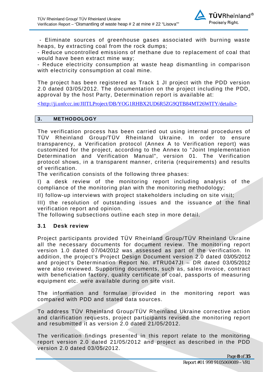

 - Eliminate sources of greenhouse gases associated with burning waste heaps, by extracting coal from the rock dumps;

- Reduce uncontrolled emissions of methane due to replacement of coal that would have been extract mine way;

- Reduce electricity consumption at waste heap dismantling in comparison with electricity consumption at coal mine.

The project has been registered as Track 1 JI project with the PDD version 2.0 dated 03/05/2012. The documentation on the project including the PDD, approval by the host Party, Determination report is available at:

<[http://ji.unfccc.int/JIITLProject/DB/YOG1RHBX2UD6R5ZG9QTB84MT26WITY/details](http://ji.unfccc.int/JIITLProject/DB/0RQXGLUAS7ETAGMUQZWFQPJLN1SIAW/details)>

#### <span id="page-7-0"></span>**3. METHODOLOGY**

The verification process has been carried out using internal procedures of TÜV Rheinland Group/TÜV Rheinland Ukraine. In order to ensure transparency, a Verification protocol (Annex A to Verification report) was customized for the project, according to the Annex to "Joint Implementation Determination and Verification Manual", version 01. The Verification protocol shows, in a transparent manner, criteria (requirements) and results of verification.

The verification consists of the following three phases:

I) a desk review of the monitoring report including analysis of the compliance of the monitoring plan with the monitoring methodology;

II) follow-up interviews with project stakeholders including on site visit;

III) the resolution of outstanding issues and the issuance of the final verification report and opinion.

The following subsections outline each step in more detail.

#### <span id="page-7-1"></span>**3.1 Desk review**

Project participants provided TÜV Rheinland Group/TÜV Rheinland Ukraine all the necessary documents for document review. The monitoring report version 1.0 dated 07/04/2012 was assessed as part of the verification. In addition, the project's Project Design Document version 2.0 dated 03/05/2012 and project's Determination Report No. #TRU047JI – DR dated 03/05/2012 were also reviewed. Supporting documents, such as, sales invoice, contract with beneficiation factory, quality certificate of coal, passports of measuring equipment etc. were available during on site visit.

The information and formulae provided in the monitoring report was compared with PDD and stated data sources.

To address TÜV Rheinland Group/TÜV Rheinland Ukraine corrective action and clarification requests, project participants revised the monitoring report and resubmitted it as version 2.0 dated 21/05/2012.

The verification findings presented in this report relate to the monitoring report version 2.0 dated 21/05/2012 and project as described in the PDD version 2.0 dated 03/05/2012.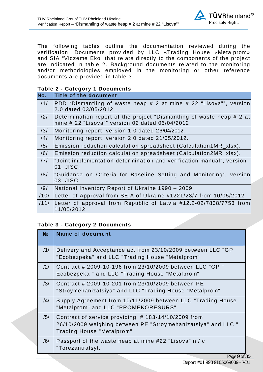

The following tables outline the documentation reviewed during the verification. Documents provided by LLC «Trading House «Metalprom» and SIA "Vidzeme Eko" that relate directly to the components of the project are indicated in table 2. Background documents related to the monitoring and/or methodologies employed in the monitoring or other reference documents are provided in table 3.

#### **Table 2 - Category 1 Documents**

| No.            | Title of the document                                                                                                    |
|----------------|--------------------------------------------------------------------------------------------------------------------------|
| /1/            | PDD "Dismantling of waste heap # 2 at mine # 22 "Lisova"", version<br>2.0 dated 03/05/2012.                              |
| $\frac{12}{1}$ | Determination report of the project "Dismantling of waste heap # 2 at<br>mine # 22 "Lisova"" version 02 dated 06/04/2012 |
| /3/            | Monitoring report, version 1.0 dated 26/04/2012.                                                                         |
| /4/            | Monitoring report, version 2.0 dated 21/05/2012.                                                                         |
| /5/            | Emission reduction calculation spreadsheet (Calculation1MR_xlsx).                                                        |
| /6/            | Emission reduction calculation spreadsheet (Calculation2MR_xlsx).                                                        |
| 171            | "Joint implementation determination and verification manual", version<br>01. JISC.                                       |
| /8/            | "Guidance on Criteria for Baseline Setting and Monitoring", version<br> 03, JISC.                                        |
| /9/            | National Inventory Report of Ukraine 1990 – 2009                                                                         |
| /10/           | Letter of Approval from SEIA of Ukraine #1221/23/7 from 10/05/2012                                                       |
| /11/           | Letter of approval from Republic of Latvia #12.2-02/7838/7753 from<br>11/05/2012                                         |

## **Table 3 - Category 2 Documents**

| No             | <b>Name of document</b>                                                                                                                             |
|----------------|-----------------------------------------------------------------------------------------------------------------------------------------------------|
| 11/            | Delivery and Acceptance act from 23/10/2009 between LLC "GP<br>"Ecobezpeka" and LLC "Trading House "Metalprom"                                      |
| $\frac{12}{1}$ | Contract # 2009-10-196 from 23/10/2009 between LLC "GP"<br>Ecobezpeka " and LLC "Trading House "Metalprom"                                          |
| /3/            | Contract # 2009-10-201 from 23/10/2009 between PE<br>"Stroymehanizatsiya" and LLC "Trading House "Metalprom"                                        |
| /4/            | Supply Agreement from 10/11/2009 between LLC "Trading House<br>"Metalprom" and LLC "PROMEKORESURS"                                                  |
| /5/            | Contract of service providing $#$ 183-14/10/2009 from<br>26/10/2009 weighing between PE "Stroymehanizatsiya" and LLC "<br>Trading House "Metalprom" |
| /6/            | Passport of the waste heap at mine #22 "Lisova" n / c<br>"Torezantratsyt."                                                                          |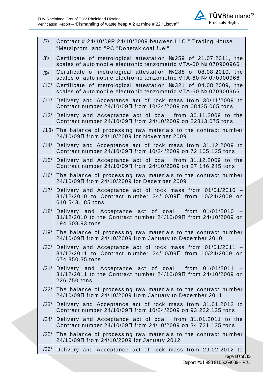

| 7 <br>Contract # 24/10/09P 24/10/2009 between LLC " Trading House<br>"Metalprom" and "PC "Donetsk coal fuel"<br>Certificate of metrological attestation №259 of 21.07.2011, the<br>/8/<br>scales of automobile electronic tenzometric VTA-60 № 070900966<br>Certificate of metrological attestation №288 of 08.08.2010, the<br>/9/<br>scales of automobile electronic tenzometric VTA-60 № 070900966<br>Certificate of metrological attestation №321 of 04.08.2009, the<br>/10/<br>scales of automobile electronic tenzometric VTA-60 № 070900966<br>Delivery and Acceptance act of rock mass from 30/11/2009 to<br>/11/<br>Contract number 24/10/09 T from 10/24/2009 on 68435.065 tons<br>Delivery and Acceptance act of coal from 30.11.2009 to the<br>/12/<br>Contract number 24/10/09 T from 24/10/2009 on 22813.075 tons<br>/13/ The balance of processing raw materials to the contract number<br>24/10/09 T from 24/10/2009 for November 2009<br>Delivery and Acceptance act of rock mass from 31.12.2009 to<br>/14/<br>Contract number 24/10/09 T from 10/24/2009 on 72 105.125 tons<br>Delivery and Acceptance act of coal from 31.12.2009 to the<br>/15/<br>Contract number 24/10/09 T from 24/10/2009 on 27 146.245 tons<br>/16/<br>The balance of processing raw materials to the contract number<br>24/10/09 T from 24/10/2009 for December 2009<br>/17/<br>Delivery and Acceptance act of rock mass from 01/01/2010 -<br>31/12/2010 to Contract number 24/10/09  from 10/24/2009 on<br>610 543.185 tons<br>/18/<br>Delivery and Acceptance act of coal from 01/01/2010<br>31/12/2010 to the Contract number 24/10/09 Tfrom 24/10/2009 on<br>194 608.93 tons<br>$/19/$ The balance of processing raw materials to the contract number<br>24/10/09 T from 24/10/2009 from January to December 2010<br>/20/<br>Delivery and Acceptance act of rock mass from 01/01/2011 -<br>31/12/2011 to Contract number 24/10/09 Tfrom 10/24/2009 on<br>674 850.35 tons<br>/21/<br>from 01/01/2011<br>Delivery and Acceptance act of coal<br>31/12/2011 to the Contract number 24/10/09 T from 24/10/2009 on<br>226 750 tons<br>The balance of processing raw materials to the contract number<br>/22/<br>24/10/09 T from 24/10/2009 from January to December 2011<br>Delivery and Acceptance act of rock mass from 31.01.2012 to<br>/23/<br>Contract number 24/10/09 T from 10/24/2009 on 93 222.125 tons<br>Delivery and Acceptance act of coal from 31.01.2011 to the<br>$\left 24\right $<br>Contract number 24/10/09 T from 24/10/2009 on 34 721.135 tons<br>The balance of processing raw materials to the contract number<br>/25/<br>24/10/09N from 24/10/2009 for January 2012<br>/26/<br>Delivery and Acceptance act of rock mass from 29.02.2012 to |               |
|--------------------------------------------------------------------------------------------------------------------------------------------------------------------------------------------------------------------------------------------------------------------------------------------------------------------------------------------------------------------------------------------------------------------------------------------------------------------------------------------------------------------------------------------------------------------------------------------------------------------------------------------------------------------------------------------------------------------------------------------------------------------------------------------------------------------------------------------------------------------------------------------------------------------------------------------------------------------------------------------------------------------------------------------------------------------------------------------------------------------------------------------------------------------------------------------------------------------------------------------------------------------------------------------------------------------------------------------------------------------------------------------------------------------------------------------------------------------------------------------------------------------------------------------------------------------------------------------------------------------------------------------------------------------------------------------------------------------------------------------------------------------------------------------------------------------------------------------------------------------------------------------------------------------------------------------------------------------------------------------------------------------------------------------------------------------------------------------------------------------------------------------------------------------------------------------------------------------------------------------------------------------------------------------------------------------------------------------------------------------------------------------------------------------------------------------------------------------------------------------------------------------------------------------------------------------------------------------------------------------------------------------------------------------------------------------------------------------------------------------------------------|---------------|
|                                                                                                                                                                                                                                                                                                                                                                                                                                                                                                                                                                                                                                                                                                                                                                                                                                                                                                                                                                                                                                                                                                                                                                                                                                                                                                                                                                                                                                                                                                                                                                                                                                                                                                                                                                                                                                                                                                                                                                                                                                                                                                                                                                                                                                                                                                                                                                                                                                                                                                                                                                                                                                                                                                                                                              |               |
|                                                                                                                                                                                                                                                                                                                                                                                                                                                                                                                                                                                                                                                                                                                                                                                                                                                                                                                                                                                                                                                                                                                                                                                                                                                                                                                                                                                                                                                                                                                                                                                                                                                                                                                                                                                                                                                                                                                                                                                                                                                                                                                                                                                                                                                                                                                                                                                                                                                                                                                                                                                                                                                                                                                                                              |               |
|                                                                                                                                                                                                                                                                                                                                                                                                                                                                                                                                                                                                                                                                                                                                                                                                                                                                                                                                                                                                                                                                                                                                                                                                                                                                                                                                                                                                                                                                                                                                                                                                                                                                                                                                                                                                                                                                                                                                                                                                                                                                                                                                                                                                                                                                                                                                                                                                                                                                                                                                                                                                                                                                                                                                                              |               |
|                                                                                                                                                                                                                                                                                                                                                                                                                                                                                                                                                                                                                                                                                                                                                                                                                                                                                                                                                                                                                                                                                                                                                                                                                                                                                                                                                                                                                                                                                                                                                                                                                                                                                                                                                                                                                                                                                                                                                                                                                                                                                                                                                                                                                                                                                                                                                                                                                                                                                                                                                                                                                                                                                                                                                              |               |
|                                                                                                                                                                                                                                                                                                                                                                                                                                                                                                                                                                                                                                                                                                                                                                                                                                                                                                                                                                                                                                                                                                                                                                                                                                                                                                                                                                                                                                                                                                                                                                                                                                                                                                                                                                                                                                                                                                                                                                                                                                                                                                                                                                                                                                                                                                                                                                                                                                                                                                                                                                                                                                                                                                                                                              |               |
|                                                                                                                                                                                                                                                                                                                                                                                                                                                                                                                                                                                                                                                                                                                                                                                                                                                                                                                                                                                                                                                                                                                                                                                                                                                                                                                                                                                                                                                                                                                                                                                                                                                                                                                                                                                                                                                                                                                                                                                                                                                                                                                                                                                                                                                                                                                                                                                                                                                                                                                                                                                                                                                                                                                                                              |               |
|                                                                                                                                                                                                                                                                                                                                                                                                                                                                                                                                                                                                                                                                                                                                                                                                                                                                                                                                                                                                                                                                                                                                                                                                                                                                                                                                                                                                                                                                                                                                                                                                                                                                                                                                                                                                                                                                                                                                                                                                                                                                                                                                                                                                                                                                                                                                                                                                                                                                                                                                                                                                                                                                                                                                                              |               |
|                                                                                                                                                                                                                                                                                                                                                                                                                                                                                                                                                                                                                                                                                                                                                                                                                                                                                                                                                                                                                                                                                                                                                                                                                                                                                                                                                                                                                                                                                                                                                                                                                                                                                                                                                                                                                                                                                                                                                                                                                                                                                                                                                                                                                                                                                                                                                                                                                                                                                                                                                                                                                                                                                                                                                              |               |
|                                                                                                                                                                                                                                                                                                                                                                                                                                                                                                                                                                                                                                                                                                                                                                                                                                                                                                                                                                                                                                                                                                                                                                                                                                                                                                                                                                                                                                                                                                                                                                                                                                                                                                                                                                                                                                                                                                                                                                                                                                                                                                                                                                                                                                                                                                                                                                                                                                                                                                                                                                                                                                                                                                                                                              |               |
|                                                                                                                                                                                                                                                                                                                                                                                                                                                                                                                                                                                                                                                                                                                                                                                                                                                                                                                                                                                                                                                                                                                                                                                                                                                                                                                                                                                                                                                                                                                                                                                                                                                                                                                                                                                                                                                                                                                                                                                                                                                                                                                                                                                                                                                                                                                                                                                                                                                                                                                                                                                                                                                                                                                                                              |               |
|                                                                                                                                                                                                                                                                                                                                                                                                                                                                                                                                                                                                                                                                                                                                                                                                                                                                                                                                                                                                                                                                                                                                                                                                                                                                                                                                                                                                                                                                                                                                                                                                                                                                                                                                                                                                                                                                                                                                                                                                                                                                                                                                                                                                                                                                                                                                                                                                                                                                                                                                                                                                                                                                                                                                                              |               |
|                                                                                                                                                                                                                                                                                                                                                                                                                                                                                                                                                                                                                                                                                                                                                                                                                                                                                                                                                                                                                                                                                                                                                                                                                                                                                                                                                                                                                                                                                                                                                                                                                                                                                                                                                                                                                                                                                                                                                                                                                                                                                                                                                                                                                                                                                                                                                                                                                                                                                                                                                                                                                                                                                                                                                              |               |
|                                                                                                                                                                                                                                                                                                                                                                                                                                                                                                                                                                                                                                                                                                                                                                                                                                                                                                                                                                                                                                                                                                                                                                                                                                                                                                                                                                                                                                                                                                                                                                                                                                                                                                                                                                                                                                                                                                                                                                                                                                                                                                                                                                                                                                                                                                                                                                                                                                                                                                                                                                                                                                                                                                                                                              |               |
|                                                                                                                                                                                                                                                                                                                                                                                                                                                                                                                                                                                                                                                                                                                                                                                                                                                                                                                                                                                                                                                                                                                                                                                                                                                                                                                                                                                                                                                                                                                                                                                                                                                                                                                                                                                                                                                                                                                                                                                                                                                                                                                                                                                                                                                                                                                                                                                                                                                                                                                                                                                                                                                                                                                                                              |               |
|                                                                                                                                                                                                                                                                                                                                                                                                                                                                                                                                                                                                                                                                                                                                                                                                                                                                                                                                                                                                                                                                                                                                                                                                                                                                                                                                                                                                                                                                                                                                                                                                                                                                                                                                                                                                                                                                                                                                                                                                                                                                                                                                                                                                                                                                                                                                                                                                                                                                                                                                                                                                                                                                                                                                                              |               |
|                                                                                                                                                                                                                                                                                                                                                                                                                                                                                                                                                                                                                                                                                                                                                                                                                                                                                                                                                                                                                                                                                                                                                                                                                                                                                                                                                                                                                                                                                                                                                                                                                                                                                                                                                                                                                                                                                                                                                                                                                                                                                                                                                                                                                                                                                                                                                                                                                                                                                                                                                                                                                                                                                                                                                              |               |
|                                                                                                                                                                                                                                                                                                                                                                                                                                                                                                                                                                                                                                                                                                                                                                                                                                                                                                                                                                                                                                                                                                                                                                                                                                                                                                                                                                                                                                                                                                                                                                                                                                                                                                                                                                                                                                                                                                                                                                                                                                                                                                                                                                                                                                                                                                                                                                                                                                                                                                                                                                                                                                                                                                                                                              |               |
|                                                                                                                                                                                                                                                                                                                                                                                                                                                                                                                                                                                                                                                                                                                                                                                                                                                                                                                                                                                                                                                                                                                                                                                                                                                                                                                                                                                                                                                                                                                                                                                                                                                                                                                                                                                                                                                                                                                                                                                                                                                                                                                                                                                                                                                                                                                                                                                                                                                                                                                                                                                                                                                                                                                                                              |               |
|                                                                                                                                                                                                                                                                                                                                                                                                                                                                                                                                                                                                                                                                                                                                                                                                                                                                                                                                                                                                                                                                                                                                                                                                                                                                                                                                                                                                                                                                                                                                                                                                                                                                                                                                                                                                                                                                                                                                                                                                                                                                                                                                                                                                                                                                                                                                                                                                                                                                                                                                                                                                                                                                                                                                                              |               |
|                                                                                                                                                                                                                                                                                                                                                                                                                                                                                                                                                                                                                                                                                                                                                                                                                                                                                                                                                                                                                                                                                                                                                                                                                                                                                                                                                                                                                                                                                                                                                                                                                                                                                                                                                                                                                                                                                                                                                                                                                                                                                                                                                                                                                                                                                                                                                                                                                                                                                                                                                                                                                                                                                                                                                              | Page 10 of 35 |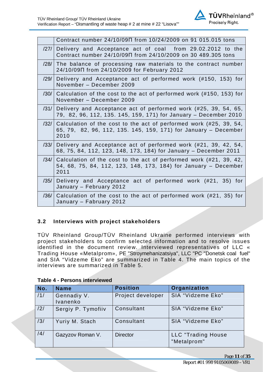

|                   | Contract number 24/10/09 T from 10/24/2009 on 91 015.015 tons                                                                                 |
|-------------------|-----------------------------------------------------------------------------------------------------------------------------------------------|
| $\left 27\right $ | Delivery and Acceptance act of coal from 29.02.2012 to the<br>Contract number 24/10/09 T from 24/10/2009 on 30 489.305 tons                   |
| /28/              | The balance of processing raw materials to the contract number<br>24/10/09 T from 24/10/2009 for February 2012                                |
| /29/              | Delivery and Acceptance act of performed work (#150, 153) for<br>November - December 2009                                                     |
| /30/              | Calculation of the cost to the act of performed work (#150, 153) for<br>November - December 2009                                              |
| /31/              | Delivery and Acceptance act of performed work (#25, 39, 54, 65,<br>79, 82, 96, 112, 135. 145, 159, 171) for January – December 2010           |
| /32/              | Calculation of the cost to the act of performed work (#25, 39, 54,<br>65, 79, 82, 96, 112, 135. 145, 159, 171) for January – December<br>2010 |
| /33/              | Delivery and Acceptance act of performed work (#21, 39, 42, 54,<br>68, 75, 84, 112, 123, 148, 173, 184) for January – December 2011           |
| /34/              | Calculation of the cost to the act of performed work (#21, 39, 42,<br>54, 68, 75, 84, 112, 123, 148, 173, 184) for January - December<br>2011 |
| /35/              | Delivery and Acceptance act of performed work (#21, 35) for<br>January - February 2012                                                        |
| /36/              | Calculation of the cost to the act of performed work (#21, 35) for<br>January - Fabruary 2012                                                 |

## <span id="page-10-0"></span>**3.2 Interviews with project stakeholders**

TÜV Rheinland Group/TÜV Rheinland Ukraine performed interviews with project stakeholders to confirm selected information and to resolve issues identified in the document review. Interviewed representatives of LLC « Trading House «Metalprom», PE "Stroymehanizatsiya", LLC "PC "Donetsk coal fuel" and SIA "Vidzeme Eko" are summarized in Table 4. The main topics of the interviews are summarized in Table 5.

| No. | <b>Name</b>             | <b>Position</b>   | Organization                      |
|-----|-------------------------|-------------------|-----------------------------------|
| /1/ | Gennadiy V.<br>Ivanenko | Project developer | SIA "Vidzeme Eko"                 |
| /2/ | Sergiy P. Tymofiiv      | Consultant        | SIA "Vidzeme Eko"                 |
| /3/ | Yuriy M. Stach          | Consultant        | SIA "Vidzeme Eko"                 |
| /4/ | Gazyzov Roman V.        | <b>Director</b>   | LLC "Trading House<br>"Metalprom" |

#### **Table 4 - Persons interviewed**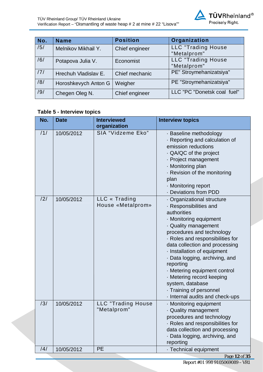| No. | <b>Name</b>          | <b>Position</b> | Organization                             |
|-----|----------------------|-----------------|------------------------------------------|
| /5/ | Melnikov Mikhail Y.  | Chief engineer  | <b>LLC</b> "Trading House<br>"Metalprom" |
| /6/ | Potapova Julia V.    | Economist       | LLC "Trading House<br>"Metalprom"        |
| /7/ | Hrechuh Vladislav E. | Chief mechanic  | PE" Stroymehanizatsiya"                  |
| /8/ | Horoshkevych Anton G | Weigher         | PE "Stroymehanizatsiya"                  |
| /9/ | Chegen Oleg N.       | Chief engineer  | LLC "PC "Donetsk coal fuel"              |

## **Table 5 - Interview topics**

| No. | <b>Date</b> | <b>Interviewed</b><br>organization       | <b>Interview topics</b>                                                                                                                                                                                                                                                                                                                                                                                                                 |
|-----|-------------|------------------------------------------|-----------------------------------------------------------------------------------------------------------------------------------------------------------------------------------------------------------------------------------------------------------------------------------------------------------------------------------------------------------------------------------------------------------------------------------------|
| /1/ | 10/05/2012  | SIA "Vidzeme Eko"                        | - Baseline methodology<br>Reporting and calculation of<br>emission reductions<br>. QA/QC of the project<br>- Project management<br>· Monitoring plan<br>- Revision of the monitoring<br>plan<br>· Monitoring report<br>- Deviations from PDD                                                                                                                                                                                            |
| /2/ | 10/05/2012  | LLC « Trading<br>House «Metalprom»       | Organizational structure<br>· Responsibilities and<br>authorities<br>- Monitoring equipment<br>Quality management<br>procedures and technology<br>Roles and responsibilities for<br>data collection and processing<br>Installation of equipment<br>· Data logging, archiving, and<br>reporting<br>Metering equipment control<br>Metering record keeping<br>system, database<br>Training of personnel<br>- Internal audits and check-ups |
| /3/ | 10/05/2012  | <b>LLC</b> "Trading House<br>"Metalprom" | Monitoring equipment<br>Quality management<br>procedures and technology<br>· Roles and responsibilities for<br>data collection and processing<br>· Data logging, archiving, and<br>reporting                                                                                                                                                                                                                                            |
| /4/ | 10/05/2012  | <b>PE</b>                                | · Technical equipment                                                                                                                                                                                                                                                                                                                                                                                                                   |

Page **12** of **35** Report #01 998 9105069089 - VR1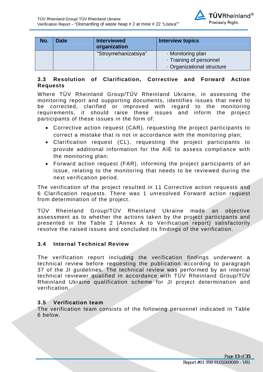

| No. | <b>Date</b> | <b>Interviewed</b><br>organization | <b>Interview topics</b>  |
|-----|-------------|------------------------------------|--------------------------|
|     |             | "Stroymehanizatsiya"               | · Monitoring plan        |
|     |             |                                    | · Training of personnel  |
|     |             |                                    | Organizational structure |

## <span id="page-12-0"></span>**3.3 Resolution of Clarification, Corrective and Forward Action Requests**

Where TÜV Rheinland Group/TÜV Rheinland Ukraine, in assessing the monitoring report and supporting documents, identifies issues that need to be corrected, clarified or improved with regard to the monitoring requirements, it should raise these issues and inform the project participants of these issues in the form of:

- · Corrective action request (CAR), requesting the project participants to correct a mistake that is not in accordance with the monitoring plan;
- · Clarification request (CL), requesting the project participants to provide additional information for the AIE to assess compliance with the monitoring plan;
- · Forward action request (FAR), informing the project participants of an issue, relating to the monitoring that needs to be reviewed during the next verification period.

The verification of the project resulted in 11 Corrective action requests and 6 Clarification requests. There was 1 unresolved Forward action request from determination of the project.

TÜV Rheinland Group/TÜV Rheinland Ukraine made an objective assessment as to whether the actions taken by the project participants and presented in the Table 2 (Annex A to Verification report) satisfactorily resolve the raised issues and concluded its findings of the verification.

## <span id="page-12-1"></span>**3.4 Internal Technical Review**

The verification report including the verification findings underwent a technical review before requesting the publication according to paragraph 37 of the JI guidelines. The technical review was performed by an internal technical reviewer qualified in accordance with TÜV Rheinland Group/TÜV Rheinland Ukraine qualification scheme for JI project determination and verification.

#### <span id="page-12-2"></span>**3.5 Verification team**

The verification team consists of the following personnel indicated in Table 6 below.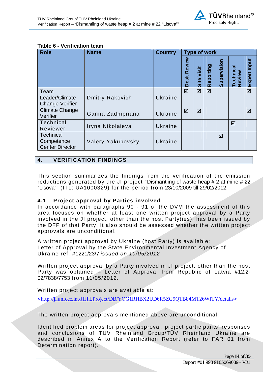#### **Table 6 - Verification team**

| <b>Role</b>                                              | <b>Name</b>            | <b>Country</b> | <b>Type of work</b>   |                |           |             |                            |              |  |
|----------------------------------------------------------|------------------------|----------------|-----------------------|----------------|-----------|-------------|----------------------------|--------------|--|
|                                                          |                        |                | Review<br><b>Desk</b> | Visit<br>Siite | Reporting | Supervision | <b>Technical</b><br>Review | Expert Input |  |
| Team<br>Leader/Climate<br><b>Change Verifier</b>         | <b>Dmitry Rakovich</b> | Ukraine        | ☑                     | ☑              | ☑         |             |                            | ☑            |  |
| <b>Climate Change</b><br>Verifier                        | Ganna Zadnipriana      | Ukraine        | ☑                     | ☑              |           |             |                            | ☑            |  |
| <b>Technical</b><br>Reviewer                             | Iryna Nikolaieva       | Ukraine        |                       |                |           |             | ☑                          |              |  |
| <b>Technical</b><br>Competence<br><b>Center Director</b> | Valery Yakubovsky      | Ukraine        |                       |                |           | ☑           |                            |              |  |

## <span id="page-13-0"></span>**4. VERIFICATION FINDINGS**

This section summarizes the findings from the verification of the emission reductions generated by the JI project "Dismantling of waste heap # 2 at mine # 22 "Lisova"" (ITL: UA1000329) for the period from 23/10/2009 till 29/02/2012.

#### <span id="page-13-1"></span>**4.1 Project approval by Parties involved**

In accordance with paragraphs 90 - 91 of the DVM the assessment of this area focuses on whether at least one written project approval by a Party involved in the JI project, other than the host Party(ies), has been issued by the DFP of that Party. It also should be assessed whether the written project approvals are unconditional.

A written project approval by Ukraine (host Party) is available: Letter of Approval by the State Environmental Investment Agency of Ukraine ref. *#*1221/23/7 *issued on 10/05/2012* 

Written project approval by a Party involved in JI project, other than the host Party was obtained – Letter of Approval from Republic of Latvia #12.2- 02/7838/7753 from 11/05/2012.

Written project approvals are available at:

<[http://ji.unfccc.int/JIITLProject/DB/YOG1RHBX2UD6R5ZG9QTB84MT26WITY/details](http://ji.unfccc.int/JIITLProject/DB/0RQXGLUAS7ETAGMUQZWFQPJLN1SIAW/details)>

The written project approvals mentioned above are unconditional.

Identified problem areas for project approval, project participants' responses and conclusions of TÜV Rheinland Group/TÜV Rheinland Ukraine are described in Annex A to the Verification Report (refer to FAR 01 from Determination report).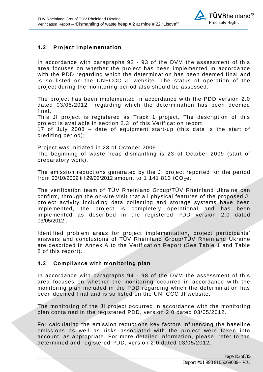

## <span id="page-14-0"></span>**4.2 Project implementation**

In accordance with paragraphs 92 - 93 of the DVM the assessment of this area focuses on whether the project has been implemented in accordance with the PDD regarding which the determination has been deemed final and is so listed on the UNFCCC JI website. The status of operation of the project during the monitoring period also should be assessed.

The project has been implemented in accordance with the PDD version 2.0 dated 03/05/2012 regarding which the determination has been deemed final.

This JI project is registered as Track 1 project. The description of this project is available in section 2.3. of this Verification report.

17 of July 2008 – date of equipment start-up (this date is the start of crediting period);

Project was initiated in 23 of October 2009.

The beginning of waste heap dismantling is 23 of October 2009 (start of preparatory work).

The emission reductions generated by the JI project reported for the period from 23/10/2009 till 29/02/2012 amount to 1 141 813 tCO<sub>2</sub>e.

The verification team of TÜV Rheinland Group/TÜV Rheinland Ukraine can confirm, through the on-site visit that all physical features of the proposed JI project activity including data collecting and storage systems have been implemented, the project is completely operational and has been implemented as described in the registered PDD version 2.0 dated 03/05/2012

Identified problem areas for project implementation, project participants' answers and conclusions of TÜV Rheinland Group/TÜV Rheinland Ukraine are described in Annex A to the Verification Report (See Table 1 and Table 2 of this report).

#### <span id="page-14-1"></span>**4.3 Compliance with monitoring plan**

In accordance with paragraphs 94 - 98 of the DVM the assessment of this area focuses on whether the monitoring occurred in accordance with the monitoring plan included in the PDD regarding which the determination has been deemed final and is so listed on the UNFCCC JI website.

The monitoring of the JI project occurred in accordance with the monitoring plan contained in the registered PDD, version 2.0 dated 03/05/2012.

For calculating the emission reductions key factors influencing the baseline emissions as well as risks associated with the project were taken into account, as appropriate. For more detailed information, please, refer to the determined and registered PDD, version 2.0 dated 03/05/2012.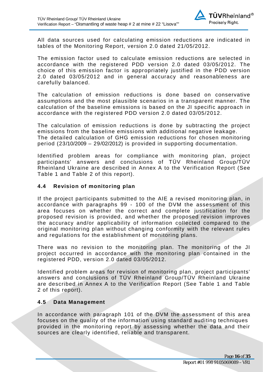

All data sources used for calculating emission reductions are indicated in tables of the Monitoring Report, version 2.0 dated 21/05/2012.

The emission factor used to calculate emission reductions are selected in accordance with the registered PDD version 2.0 dated 03/05/2012. The choice of this emission factor is appropriately justified in the PDD version 2.0 dated 03/05/2012 and in general accuracy and reasonableness are carefully balanced.

The calculation of emission reductions is done based on conservative assumptions and the most plausible scenarios in a transparent manner. The calculation of the baseline emissions is based on the JI specific approach in accordance with the registered PDD version 2.0 dated 03/05/2012.

The calculation of emission reductions is done by subtracting the project emissions from the baseline emissions with additional negative leakage. The detailed calculation of GHG emission reductions for chosen monitoring period (23/10/2009 – 29/02/2012) is provided in supporting documentation.

Identified problem areas for compliance with monitoring plan, project participants' answers and conclusions of TÜV Rheinland Group/TÜV Rheinland Ukraine are described in Annex A to the Verification Report (See Table 1 and Table 2 of this report).

#### <span id="page-15-0"></span>**4.4 Revision of monitoring plan**

If the project participants submitted to the AIE a revised monitoring plan, in accordance with paragraphs 99 - 100 of the DVM the assessment of this area focuses on whether the correct and complete justification for the proposed revision is provided, and whether the proposed revision improves the accuracy and/or applicability of information collected compared to the original monitoring plan without changing conformity with the relevant rules and regulations for the establishment of monitoring plans.

There was no revision to the monitoring plan. The monitoring of the JI project occurred in accordance with the monitoring plan contained in the registered PDD, version 2.0 dated 03/05/2012.

Identified problem areas for revision of monitoring plan, project participants' answers and conclusions of TÜV Rheinland Group/TÜV Rheinland Ukraine are described in Annex A to the Verification Report (See Table 1 and Table 2 of this report).

#### <span id="page-15-1"></span>**4.5 Data Management**

In accordance with paragraph 101 of the DVM the assessment of this area focuses on the quality of the information using standard auditing techniques provided in the monitoring report by assessing whether the data and their sources are clearly identified, reliable and transparent.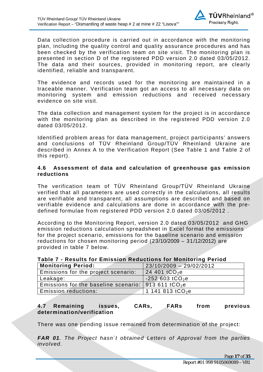

Data collection procedure is carried out in accordance with the monitoring plan, including the quality control and quality assurance procedures and has been checked by the verification team on site visit. The monitoring plan is presented in section D of the registered PDD version 2.0 dated 03/05/2012. The data and their sources, provided in monitoring report, are clearly identified, reliable and transparent.

The evidence and records used for the monitoring are maintained in a traceable manner. Verification team got an access to all necessary data on monitoring system and emission reductions and received necessary evidence on site visit.

The data collection and management system for the project is in accordance with the monitoring plan as described in the registered PDD version 2.0 dated 03/05/2012.

Identified problem areas for data management, project participants' answers and conclusions of TÜV Rheinland Group/TÜV Rheinland Ukraine are described in Annex A to the Verification Report (See Table 1 and Table 2 of this report).

#### <span id="page-16-0"></span>**4.6 Assessment of data and calculation of greenhouse gas emission reductions**

The verification team of TÜV Rheinland Group/TÜV Rheinland Ukraine verified that all parameters are used correctly in the calculations, all results are verifiable and transparent, all assumptions are described and based on verifiable evidence and calculations are done in accordance with the predefined formulae from registered PDD version 2.0 dated 03/05/2012 .

According to the Monitoring Report, version 2.0 dated 03/05/2012 and GHG emission reductions calculation spreadsheet in Excel format the emissions for the project scenario, emissions for the baseline scenario and emission reductions for chosen monitoring period (23/10/2009 – 31/12/2012) are provided in table 7 below.

## **Monitoring Period:** 23/10/2009 – 29/02/2012 Emissions for the project scenario:  $\left| \right. 24$  401 tCO<sub>2</sub>e Leakage:  $\vert$  -252 603 tCO<sub>2</sub>e Emissions for the baseline scenario: 913 611 tCO<sub>2</sub>e

## **Table 7 - Results for Emission Reductions for Monitoring Period**

Emission reductions: 1 141 813 tCO<sub>2</sub>e

<span id="page-16-1"></span>

| 4.7 | Remaining                  | issues, | <b>CARs.</b> | <b>FARs</b> | from | previous |
|-----|----------------------------|---------|--------------|-------------|------|----------|
|     | determination/verification |         |              |             |      |          |

There was one pending issue remained from determination of the project:

*FAR 01. The Project hasn`t obtained Letters of Approval from the parties involved.*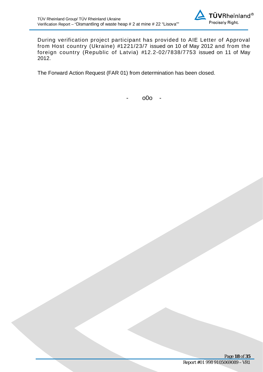

During verification project participant has provided to AIE Letter of Approval from Host country (Ukraine) #1221/23/7 issued on 10 of May 2012 and from the foreign country (Republic of Latvia) #12.2-02/7838/7753 issued on 11 of May 2012.

The Forward Action Request (FAR 01) from determination has been closed.

- o0o -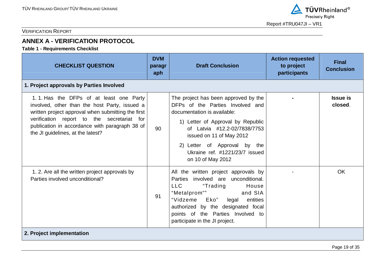

## <span id="page-18-0"></span>**ANNEX A - VERIFICATION PROTOCOL**

**Table 1 - Requirements Checklist** 

| <b>CHECKLIST QUESTION</b>                                                                                                                                                                                                                                                           | <b>DVM</b><br>paragr<br>aph | <b>Draft Conclusion</b>                                                                                                                                                                                                                                                                         | <b>Action requested</b><br>to project<br>participants | <b>Final</b><br><b>Conclusion</b> |
|-------------------------------------------------------------------------------------------------------------------------------------------------------------------------------------------------------------------------------------------------------------------------------------|-----------------------------|-------------------------------------------------------------------------------------------------------------------------------------------------------------------------------------------------------------------------------------------------------------------------------------------------|-------------------------------------------------------|-----------------------------------|
| 1. Project approvals by Parties Involved                                                                                                                                                                                                                                            |                             |                                                                                                                                                                                                                                                                                                 |                                                       |                                   |
| 1.1. Has the DFPs of at least one Party<br>involved, other than the host Party, issued a<br>written project approval when submitting the first<br>verification report to the secretariat for<br>publication in accordance with paragraph 38 of<br>the JI guidelines, at the latest? | 90                          | The project has been approved by the<br>DFPs of the Parties Involved and<br>documentation is available:<br>1) Letter of Approval by Republic<br>of Latvia #12.2-02/7838/7753<br>issued on 11 of May 2012<br>2) Letter of Approval by the<br>Ukraine ref. #1221/23/7 issued<br>on 10 of May 2012 |                                                       | <b>Issue is</b><br>closed.        |
| 1. 2. Are all the written project approvals by<br>Parties involved unconditional?                                                                                                                                                                                                   | 91                          | All the written project approvals by<br>Parties involved are unconditional.<br>LLC<br>"Trading<br>House<br>"Metalprom""<br>and SIA<br>"Vidzeme Eko"<br>legal<br>entities<br>authorized by the designated focal<br>points of the Parties Involved to<br>participate in the JI project.           |                                                       | OK                                |
| 2. Project implementation                                                                                                                                                                                                                                                           |                             |                                                                                                                                                                                                                                                                                                 |                                                       |                                   |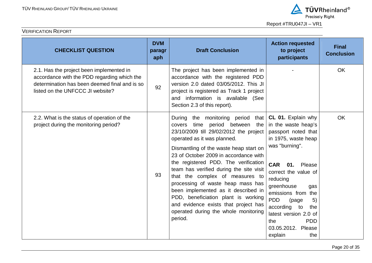

| <b>CHECKLIST QUESTION</b>                                                                                                                                                    | <b>DVM</b><br>paragr<br>aph | <b>Draft Conclusion</b>                                                                                                                                                                                                                                                                                                                                                                                                                                                                                                                                                        | <b>Action requested</b><br>to project<br>participants                                                                                                                                                                                                                                                                                                                | <b>Final</b><br><b>Conclusion</b> |
|------------------------------------------------------------------------------------------------------------------------------------------------------------------------------|-----------------------------|--------------------------------------------------------------------------------------------------------------------------------------------------------------------------------------------------------------------------------------------------------------------------------------------------------------------------------------------------------------------------------------------------------------------------------------------------------------------------------------------------------------------------------------------------------------------------------|----------------------------------------------------------------------------------------------------------------------------------------------------------------------------------------------------------------------------------------------------------------------------------------------------------------------------------------------------------------------|-----------------------------------|
| 2.1. Has the project been implemented in<br>accordance with the PDD regarding which the<br>determination has been deemed final and is so<br>listed on the UNFCCC JI website? | 92                          | The project has been implemented in<br>accordance with the registered PDD<br>version 2.0 dated 03/05/2012. This JI<br>project is registered as Track 1 project<br>and information is available (See<br>Section 2.3 of this report).                                                                                                                                                                                                                                                                                                                                            |                                                                                                                                                                                                                                                                                                                                                                      | OK                                |
| 2.2. What is the status of operation of the<br>project during the monitoring period?                                                                                         | 93                          | During the monitoring period<br>that  <br>time period between<br>the<br>covers<br>23/10/2009 till 29/02/2012 the project<br>operated as it was planned.<br>Dismantling of the waste heap start on<br>23 of October 2009 in accordance with<br>the registered PDD. The verification<br>team has verified during the site visit<br>that the complex of measures to<br>processing of waste heap mass has<br>been implemented as it described in<br>PDD, beneficiation plant is working<br>and evidence exists that project has<br>operated during the whole monitoring<br>period. | CL 01. Explain why<br>in the waste heap's<br>passport noted that<br>in 1975, waste heap<br>was "burning".<br><b>CAR</b><br>01.<br>Please<br>correct the value of<br>reducing<br>greenhouse<br>gas<br>emissions from the<br><b>PDD</b><br>5)<br>(page<br>according<br>to<br>the<br>latest version 2.0 of<br><b>PDD</b><br>the<br>03.05.2012. Please<br>the<br>explain | <b>OK</b>                         |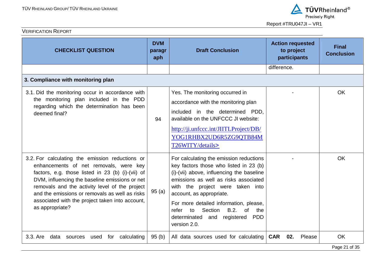

| <b>CHECKLIST QUESTION</b>                                                                                                                                                                                                                                                                                                                                                  | <b>DVM</b><br>paragr<br>aph | <b>Draft Conclusion</b>                                                                                                                                                                                                                                                                                                                                                                                     | <b>Action requested</b><br>to project<br>participants | <b>Final</b><br><b>Conclusion</b> |
|----------------------------------------------------------------------------------------------------------------------------------------------------------------------------------------------------------------------------------------------------------------------------------------------------------------------------------------------------------------------------|-----------------------------|-------------------------------------------------------------------------------------------------------------------------------------------------------------------------------------------------------------------------------------------------------------------------------------------------------------------------------------------------------------------------------------------------------------|-------------------------------------------------------|-----------------------------------|
|                                                                                                                                                                                                                                                                                                                                                                            |                             |                                                                                                                                                                                                                                                                                                                                                                                                             | difference.                                           |                                   |
| 3. Compliance with monitoring plan                                                                                                                                                                                                                                                                                                                                         |                             |                                                                                                                                                                                                                                                                                                                                                                                                             |                                                       |                                   |
| 3.1. Did the monitoring occur in accordance with<br>the monitoring plan included in the PDD<br>regarding which the determination has been<br>deemed final?                                                                                                                                                                                                                 | 94                          | Yes. The monitoring occurred in<br>accordance with the monitoring plan<br>included in the determined PDD,<br>available on the UNFCCC JI website:<br>http://ji.unfccc.int/JIITLProject/DB/<br>YOG1RHBX2UD6R5ZG9QTB84M<br>T26WITY/details>                                                                                                                                                                    |                                                       | <b>OK</b>                         |
| 3.2. For calculating the emission reductions or<br>enhancements of net removals, were key<br>factors, e.g. those listed in 23 (b) (i)-(vii) of<br>DVM, influencing the baseline emissions or net<br>removals and the activity level of the project<br>and the emissions or removals as well as risks<br>associated with the project taken into account,<br>as appropriate? | 95(a)                       | For calculating the emission reductions<br>key factors those who listed in 23 (b)<br>(i)-(vii) above, influencing the baseline<br>emissions as well as risks associated<br>with the project were taken into<br>account, as appropriate.<br>For more detailed information, please,<br>Section<br>B.2.<br>refer<br>to<br><sub>of</sub><br>the<br>and registered<br>determinated<br><b>PDD</b><br>version 2.0. |                                                       | <b>OK</b>                         |
| 3.3. Are<br>calculating<br>data sources<br>for<br>used                                                                                                                                                                                                                                                                                                                     | 95(b)                       | All data sources used for calculating                                                                                                                                                                                                                                                                                                                                                                       | <b>CAR 02.</b><br>Please                              | <b>OK</b><br>Page 21 of 35        |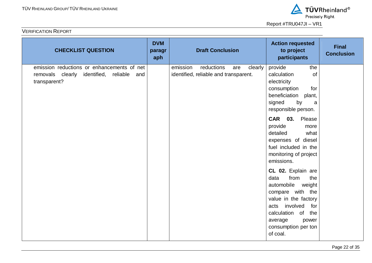

| <b>CHECKLIST QUESTION</b>                                                                                     | <b>DVM</b><br>paragr<br>aph | <b>Draft Conclusion</b>                                                           | <b>Action requested</b><br>to project<br>participants                                                                                                                                                                 | <b>Final</b><br><b>Conclusion</b> |
|---------------------------------------------------------------------------------------------------------------|-----------------------------|-----------------------------------------------------------------------------------|-----------------------------------------------------------------------------------------------------------------------------------------------------------------------------------------------------------------------|-----------------------------------|
| emission reductions or enhancements of net<br>removals clearly identified,<br>reliable<br>and<br>transparent? |                             | emission<br>reductions<br>clearly<br>are<br>identified, reliable and transparent. | provide<br>the<br>of<br>calculation<br>electricity<br>consumption<br>for<br>beneficiation<br>plant,<br>signed<br>by<br>a<br>responsible person.                                                                       |                                   |
|                                                                                                               |                             |                                                                                   | CAR 03. Please<br>provide<br>more<br>detailed<br>what<br>expenses of diesel<br>fuel included in the<br>monitoring of project<br>emissions.                                                                            |                                   |
|                                                                                                               |                             |                                                                                   | CL 02. Explain are<br>from<br>the<br>data<br>automobile<br>weight<br>compare with the<br>value in the factory<br>involved<br>acts<br>for<br>calculation of the<br>average<br>power<br>consumption per ton<br>of coal. |                                   |



Report #TRU047JI – VR1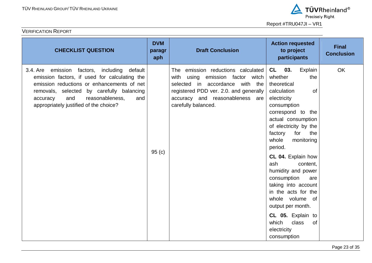

| <b>CHECKLIST QUESTION</b>                                                                                                                                                                                                                                                          | <b>DVM</b><br>paragr<br>aph | <b>Draft Conclusion</b>                                                                                                                                                                                                | <b>Action requested</b><br>to project<br>participants                                                                                                                                                                                                                                                                                                                                                                                                                                             | <b>Final</b><br><b>Conclusion</b> |
|------------------------------------------------------------------------------------------------------------------------------------------------------------------------------------------------------------------------------------------------------------------------------------|-----------------------------|------------------------------------------------------------------------------------------------------------------------------------------------------------------------------------------------------------------------|---------------------------------------------------------------------------------------------------------------------------------------------------------------------------------------------------------------------------------------------------------------------------------------------------------------------------------------------------------------------------------------------------------------------------------------------------------------------------------------------------|-----------------------------------|
| 3.4. Are emission factors, including<br>default<br>emission factors, if used for calculating the<br>emission reductions or enhancements of net<br>removals, selected by carefully balancing<br>and<br>reasonableness,<br>and<br>accuracy<br>appropriately justified of the choice? | 95(c)                       | The<br>emission reductions calculated<br>emission factor witch<br>with<br>using<br>selected in accordance with the<br>registered PDD ver. 2.0. and generally<br>accuracy and reasonableness are<br>carefully balanced. | 03.<br>CL<br>Explain<br>whether<br>the<br>theoretical<br>calculation<br>of<br>electricity<br>consumption<br>correspond to the<br>actual consumption<br>of electricity by the<br>for the<br>factory<br>whole<br>monitoring<br>period.<br>CL 04. Explain how<br>ash<br>content,<br>humidity and power<br>consumption<br>are<br>taking into account<br>in the acts for the<br>whole volume of<br>output per month.<br>CL 05. Explain to<br>which<br>class<br><b>of</b><br>electricity<br>consumption | <b>OK</b>                         |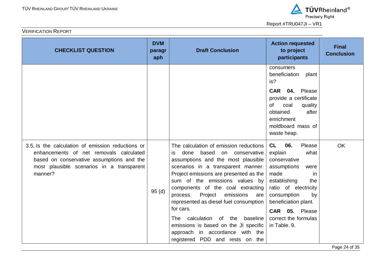

| <b>CHECKLIST QUESTION</b>                                                                                                                                                                         | <b>DVM</b><br>paragr<br>aph | <b>Draft Conclusion</b>                                                                                                                                                                                                                                                                                                                                                                                                                                                                                                      | <b>Action requested</b><br>to project<br>participants                                                                                                                                                                                              | <b>Final</b><br><b>Conclusion</b> |
|---------------------------------------------------------------------------------------------------------------------------------------------------------------------------------------------------|-----------------------------|------------------------------------------------------------------------------------------------------------------------------------------------------------------------------------------------------------------------------------------------------------------------------------------------------------------------------------------------------------------------------------------------------------------------------------------------------------------------------------------------------------------------------|----------------------------------------------------------------------------------------------------------------------------------------------------------------------------------------------------------------------------------------------------|-----------------------------------|
|                                                                                                                                                                                                   |                             |                                                                                                                                                                                                                                                                                                                                                                                                                                                                                                                              | consumers<br>beneficiation<br>plant<br>is?<br>CAR 04. Please<br>provide a certificate<br><b>of</b><br>coal<br>quality<br>after<br>obtained<br>enrichment<br>moldboard mass of                                                                      |                                   |
|                                                                                                                                                                                                   |                             |                                                                                                                                                                                                                                                                                                                                                                                                                                                                                                                              | waste heap.                                                                                                                                                                                                                                        |                                   |
| 3.5. Is the calculation of emission reductions or<br>enhancements of net removals calculated<br>based on conservative assumptions and the<br>most plausible scenarios in a transparent<br>manner? | 95(d)                       | The calculation of emission reductions<br>is done based on conservative<br>assumptions and the most plausible<br>scenarios in a transparent manner.<br>Project emissions are presented as the<br>sum of the emissions values by<br>components of the coal extracting<br>process. Project emissions<br>are<br>represented as diesel fuel consumption<br>for cars.<br>calculation of the baseline<br><b>The</b><br>emissions is based on the JI specific<br>approach in accordance with the<br>registered PDD and rests on the | CL<br>06.<br>Please<br>what<br>explain<br>conservative<br>assumptions<br>were<br>made<br>in.<br>establishing<br>the<br>ratio of electricity<br>consumption<br>by<br>beneficiation plant.<br>CAR 05. Please<br>correct the formulas<br>in Table. 9. | <b>OK</b>                         |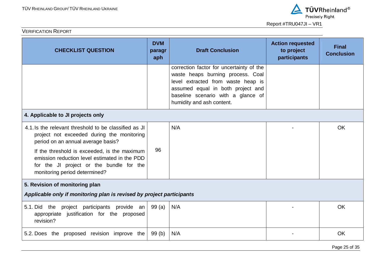



| <b>CHECKLIST QUESTION</b>                                                                                                                                                                                                                                                                                               | <b>DVM</b><br>paragr<br>aph | <b>Draft Conclusion</b>                                                                                                                                                                                                     | <b>Action requested</b><br>to project<br>participants | <b>Final</b><br><b>Conclusion</b> |  |  |
|-------------------------------------------------------------------------------------------------------------------------------------------------------------------------------------------------------------------------------------------------------------------------------------------------------------------------|-----------------------------|-----------------------------------------------------------------------------------------------------------------------------------------------------------------------------------------------------------------------------|-------------------------------------------------------|-----------------------------------|--|--|
|                                                                                                                                                                                                                                                                                                                         |                             | correction factor for uncertainty of the<br>waste heaps burning process. Coal<br>level extracted from waste heap is<br>assumed equal in both project and<br>baseline scenario with a glance of<br>humidity and ash content. |                                                       |                                   |  |  |
| 4. Applicable to JI projects only                                                                                                                                                                                                                                                                                       |                             |                                                                                                                                                                                                                             |                                                       |                                   |  |  |
| 4.1. Is the relevant threshold to be classified as JI<br>project not exceeded during the monitoring<br>period on an annual average basis?<br>If the threshold is exceeded, is the maximum<br>emission reduction level estimated in the PDD<br>for the JI project or the bundle for the<br>monitoring period determined? | 96                          | N/A                                                                                                                                                                                                                         |                                                       | <b>OK</b>                         |  |  |
| 5. Revision of monitoring plan                                                                                                                                                                                                                                                                                          |                             |                                                                                                                                                                                                                             |                                                       |                                   |  |  |
| Applicable only if monitoring plan is revised by project participants                                                                                                                                                                                                                                                   |                             |                                                                                                                                                                                                                             |                                                       |                                   |  |  |
| 5.1. Did the project participants provide an<br>appropriate justification for the proposed<br>revision?                                                                                                                                                                                                                 | 99 (a)                      | N/A                                                                                                                                                                                                                         |                                                       | <b>OK</b>                         |  |  |
| 5.2. Does the proposed revision improve the                                                                                                                                                                                                                                                                             | 99(b)                       | N/A                                                                                                                                                                                                                         |                                                       | <b>OK</b>                         |  |  |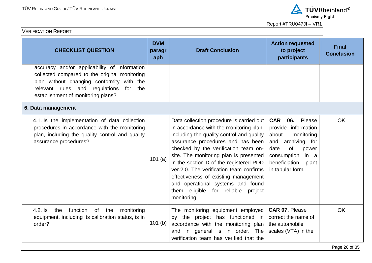| <b>CHECKLIST QUESTION</b>                                                                                                                                                                                                     | <b>DVM</b><br>paragr<br>aph | <b>Draft Conclusion</b>                                                                                                                                                                                                                                                                                                                                                                                                                                                        | <b>Action requested</b><br>to project<br>participants                                                                                                                                         | <b>Final</b><br><b>Conclusion</b> |
|-------------------------------------------------------------------------------------------------------------------------------------------------------------------------------------------------------------------------------|-----------------------------|--------------------------------------------------------------------------------------------------------------------------------------------------------------------------------------------------------------------------------------------------------------------------------------------------------------------------------------------------------------------------------------------------------------------------------------------------------------------------------|-----------------------------------------------------------------------------------------------------------------------------------------------------------------------------------------------|-----------------------------------|
| accuracy and/or applicability of information<br>collected compared to the original monitoring<br>plan without changing conformity with the<br>relevant rules and regulations<br>for the<br>establishment of monitoring plans? |                             |                                                                                                                                                                                                                                                                                                                                                                                                                                                                                |                                                                                                                                                                                               |                                   |
| 6. Data management                                                                                                                                                                                                            |                             |                                                                                                                                                                                                                                                                                                                                                                                                                                                                                |                                                                                                                                                                                               |                                   |
| 4.1. Is the implementation of data collection<br>procedures in accordance with the monitoring<br>plan, including the quality control and quality<br>assurance procedures?                                                     | 101(a)                      | Data collection procedure is carried out<br>in accordance with the monitoring plan,<br>including the quality control and quality<br>assurance procedures and has been<br>checked by the verification team on-<br>site. The monitoring plan is presented<br>in the section D of the registered PDD<br>ver.2.0. The verification team confirms<br>effectiveness of existing management<br>and operational systems and found<br>them eligible for reliable project<br>monitoring. | <b>CAR</b><br>06.<br>Please<br>provide information<br>monitoring<br>about<br>archiving for<br>and<br>of<br>date<br>power<br>consumption<br>in a<br>beneficiation<br>plant<br>in tabular form. | <b>OK</b>                         |
| $4.2.$ Is<br>function<br>of the<br>the<br>monitoring<br>equipment, including its calibration status, is in<br>order?                                                                                                          | $101$ (b)                   | The monitoring equipment employed<br>by the project has functioned in<br>accordance with the monitoring plan<br>and in general is in order. The<br>verification team has verified that the                                                                                                                                                                                                                                                                                     | <b>CAR 07. Please</b><br>correct the name of<br>the automobile<br>scales (VTA) in the                                                                                                         | <b>OK</b>                         |

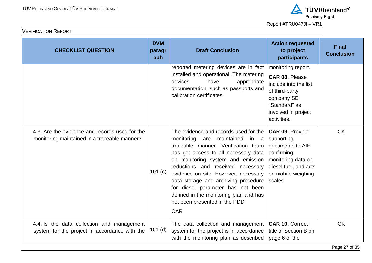| <b>CHECKLIST QUESTION</b>                                                                      | <b>DVM</b><br>paragr<br>aph | <b>Draft Conclusion</b>                                                                                                                                                                                                                                                                                                                                                                                                                                  | <b>Action requested</b><br>to project<br>participants                                                                                                       | <b>Final</b><br><b>Conclusion</b> |
|------------------------------------------------------------------------------------------------|-----------------------------|----------------------------------------------------------------------------------------------------------------------------------------------------------------------------------------------------------------------------------------------------------------------------------------------------------------------------------------------------------------------------------------------------------------------------------------------------------|-------------------------------------------------------------------------------------------------------------------------------------------------------------|-----------------------------------|
|                                                                                                |                             | reported metering devices are in fact<br>installed and operational. The metering<br>devices<br>have<br>appropriate<br>documentation, such as passports and<br>calibration certificates.                                                                                                                                                                                                                                                                  | monitoring report.<br><b>CAR 08. Please</b><br>include into the list<br>of third-party<br>company SE<br>"Standard" as<br>involved in project<br>activities. |                                   |
| 4.3. Are the evidence and records used for the<br>monitoring maintained in a traceable manner? | 101 $(c)$                   | The evidence and records used for the<br>monitoring<br>maintained<br>are<br>in a<br>traceable manner. Verification team<br>has got access to all necessary data<br>on monitoring system and emission<br>reductions and received necessary<br>evidence on site. However, necessary<br>data storage and archiving procedure<br>for diesel parameter has not been<br>defined in the monitoring plan and has<br>not been presented in the PDD.<br><b>CAR</b> | <b>CAR 09. Provide</b><br>supporting<br>documents to AIE<br>confirming<br>monitoring data on<br>diesel fuel, and acts<br>on mobile weighing<br>scales.      | <b>OK</b>                         |
| 4.4. Is the data collection and management<br>system for the project in accordance with the    | $101$ (d)                   | The data collection and management<br>system for the project is in accordance<br>with the monitoring plan as described                                                                                                                                                                                                                                                                                                                                   | <b>CAR 10. Correct</b><br>title of Section B on<br>page 6 of the                                                                                            | <b>OK</b>                         |



Report #TRU047JI – VR1

Page 27 of 35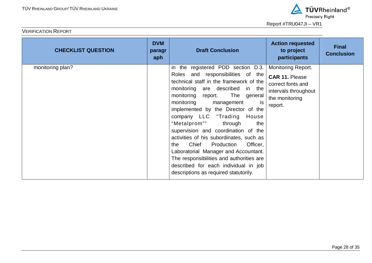

| <b>CHECKLIST QUESTION</b> | <b>DVM</b><br>paragr<br>aph | <b>Draft Conclusion</b>                                                                                                                                                                                                                                                                                                                                                                                                                                                                                                                                                                                                             | <b>Action requested</b><br>to project<br>participants                                                                        | <b>Final</b><br><b>Conclusion</b> |
|---------------------------|-----------------------------|-------------------------------------------------------------------------------------------------------------------------------------------------------------------------------------------------------------------------------------------------------------------------------------------------------------------------------------------------------------------------------------------------------------------------------------------------------------------------------------------------------------------------------------------------------------------------------------------------------------------------------------|------------------------------------------------------------------------------------------------------------------------------|-----------------------------------|
| monitoring plan?          |                             | in the registered PDD section D.3.<br>Roles and responsibilities of the<br>technical staff in the framework of the<br>monitoring are described in the<br>The general<br>monitoring report.<br>monitoring<br>management<br>is<br>implemented by the Director of the<br>company LLC "Trading House<br>"Metalprom""<br>through<br>the<br>supervision and coordination of the<br>activities of his subordinates, such as<br>Chief<br>Production<br>Officer,<br>the<br>Laboratorial Manager and Accountant.<br>The responsibilities and authorities are<br>described for each individual in job<br>descriptions as required statutorily. | <b>Monitoring Report.</b><br><b>CAR 11. Please</b><br>correct fonts and<br>intervals throughout<br>the monitoring<br>report. |                                   |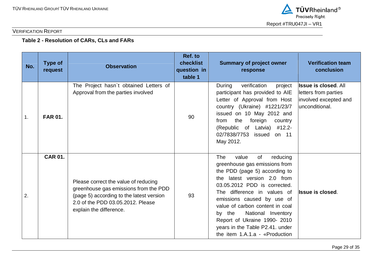

## **Table 2 - Resolution of CARs, CLs and FARs**

| No. | <b>Type of</b><br>request | <b>Observation</b>                                                                                                                                                                        | Ref. to<br>checklist<br>question in<br>table 1 | <b>Summary of project owner</b><br>response                                                                                                                                                                                                                                                                                                                                                                    | <b>Verification team</b><br>conclusion                                                          |
|-----|---------------------------|-------------------------------------------------------------------------------------------------------------------------------------------------------------------------------------------|------------------------------------------------|----------------------------------------------------------------------------------------------------------------------------------------------------------------------------------------------------------------------------------------------------------------------------------------------------------------------------------------------------------------------------------------------------------------|-------------------------------------------------------------------------------------------------|
| 1.  | <b>FAR 01.</b>            | The Project hasn't obtained Letters of<br>Approval from the parties involved                                                                                                              | 90                                             | verification<br>project<br>During<br>participant has provided to AIE<br>Letter of Approval from Host<br>country (Ukraine) #1221/23/7<br>issued on 10 May 2012 and<br>the<br>foreign<br>from<br>country<br>(Republic of Latvia) #12.2-<br>02/7838/7753 issued<br>on 11<br>May 2012.                                                                                                                             | <b>Issue is closed. All</b><br>letters from parties<br>involved excepted and<br>lunconditional. |
| 2.  | <b>CAR 01.</b>            | Please correct the value of reducing<br>greenhouse gas emissions from the PDD<br>(page 5) according to the latest version<br>2.0 of the PDD 03.05.2012. Please<br>explain the difference. | 93                                             | <b>The</b><br>value<br>of<br>reducing<br>greenhouse gas emissions from<br>the PDD (page 5) according to<br>latest version 2.0 from<br>the<br>03.05.2012 PDD is corrected.<br>The difference in values of<br>emissions caused by use of<br>value of carbon content in coal<br>National Inventory<br>by the<br>Report of Ukraine 1990- 2010<br>years in the Table P2.41. under<br>the item 1.A.1.a - «Production | <b>Issue is closed.</b>                                                                         |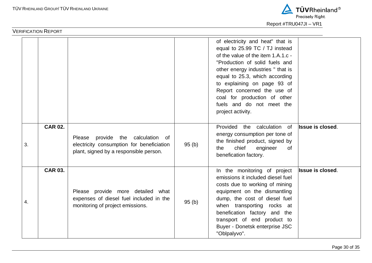

|    |                |                                                                                                                          |       | of electricity and heat" that is<br>equal to 25.99 TC / TJ instead<br>of the value of the item 1.A.1.c -<br>"Production of solid fuels and<br>other energy industries " that is<br>equal to 25.3, which according<br>to explaining on page 93 of<br>Report concerned the use of<br>coal for production of other<br>fuels and do not meet the<br>project activity. |                         |
|----|----------------|--------------------------------------------------------------------------------------------------------------------------|-------|-------------------------------------------------------------------------------------------------------------------------------------------------------------------------------------------------------------------------------------------------------------------------------------------------------------------------------------------------------------------|-------------------------|
| 3. | <b>CAR 02.</b> | Please provide the calculation of<br>electricity consumption for beneficiation<br>plant, signed by a responsible person. | 95(b) | Provided the calculation of<br>energy consumption per tone of<br>the finished product, signed by<br>chief<br>engineer<br>the<br>0f<br>benefication factory.                                                                                                                                                                                                       | <b>Issue is closed.</b> |
| 4. | <b>CAR 03.</b> | Please provide more detailed what<br>expenses of diesel fuel included in the<br>monitoring of project emissions.         | 95(b) | In the monitoring of project<br>emissions it included diesel fuel<br>costs due to working of mining<br>equipment on the dismantling<br>dump, the cost of diesel fuel<br>when transporting rocks at<br>benefication factory and the<br>transport of end product to<br>Buyer - Donetsk enterprise JSC<br>"Oblpalyvo".                                               | <b>Issue is closed.</b> |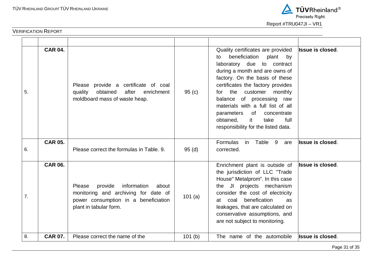

| 5. | <b>CAR 04.</b> | Please provide a certificate of coal<br>obtained<br>quality<br>after<br>enrichment<br>moldboard mass of waste heap.                                 | 95(c)  | Quality certificates are provided<br>beneficiation<br>plant<br>by<br>to<br>laboratory due to contract<br>during a month and are owns of<br>factory. On the basis of these<br>certificates the factory provides<br>the customer<br>monthly<br>for<br>balance of processing raw<br>materials with a full list of all<br>parameters<br>of<br>concentrate<br>obtained,<br>it<br>take<br>full<br>responsibility for the listed data. | <b>Issue is closed.</b> |
|----|----------------|-----------------------------------------------------------------------------------------------------------------------------------------------------|--------|---------------------------------------------------------------------------------------------------------------------------------------------------------------------------------------------------------------------------------------------------------------------------------------------------------------------------------------------------------------------------------------------------------------------------------|-------------------------|
| 6. | <b>CAR 05.</b> | Please correct the formulas in Table, 9.                                                                                                            | 95(d)  | Formulas<br>in<br>Table 9<br>are<br>corrected.                                                                                                                                                                                                                                                                                                                                                                                  | <b>Issue is closed.</b> |
| 7. | <b>CAR 06.</b> | information<br>Please<br>provide<br>about<br>monitoring and archiving for date of<br>power consumption in a beneficiation<br>plant in tabular form. | 101(a) | Enrichment plant is outside of<br>the jurisdiction of LLC "Trade<br>House" Metalprom". In this case<br>the JI projects mechanism<br>consider the cost of electricity<br>benefication<br>coal<br>at l<br>as.<br>leakages, that are calculated on<br>conservative assumptions, and<br>are not subject to monitoring.                                                                                                              | Issue is closed.        |
| 8. | <b>CAR 07.</b> | Please correct the name of the                                                                                                                      | 101(b) | The name of the automobile                                                                                                                                                                                                                                                                                                                                                                                                      | <b>Issue is closed.</b> |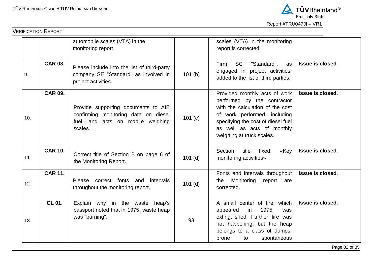

|     |                | automobile scales (VTA) in the<br>monitoring report.                                                                        |           | scales (VTA) in the monitoring<br>report is corrected.                                                                                                                                                                            |                         |
|-----|----------------|-----------------------------------------------------------------------------------------------------------------------------|-----------|-----------------------------------------------------------------------------------------------------------------------------------------------------------------------------------------------------------------------------------|-------------------------|
| 9.  | <b>CAR 08.</b> | Please include into the list of third-party<br>company SE "Standard" as involved in<br>project activities.                  | 101(b)    | <b>SC</b><br>"Standard",<br>Firm<br>as<br>engaged in project activities,<br>added to the list of third parties.                                                                                                                   | <b>Issue is closed.</b> |
| 10. | <b>CAR 09.</b> | Provide supporting documents to AIE<br>confirming monitoring data on diesel<br>fuel, and acts on mobile weighing<br>scales. | 101 (c)   | Provided monthly acts of work<br>performed by the contractor<br>with the calculation of the cost<br>of work performed, including<br>specifying the cost of diesel fuel<br>as well as acts of monthly<br>weighing at truck scales. | <b>Issue is closed.</b> |
| 11. | <b>CAR 10.</b> | Correct title of Section B on page 6 of<br>the Monitoring Report.                                                           | $101$ (d) | Section<br>title<br>fixed:<br>«Key<br>monitoring activities»                                                                                                                                                                      | <b>Issue is closed.</b> |
| 12. | <b>CAR 11.</b> | correct fonts and<br>intervals<br>Please<br>throughout the monitoring report.                                               | $101$ (d) | Fonts and intervals throughout<br>Monitoring<br>the<br>report are<br>corrected.                                                                                                                                                   | <b>Issue is closed.</b> |
| 13. | CL 01.         | Explain why in the waste heap's<br>passport noted that in 1975, waste heap<br>was "burning".                                | 93        | A small center of fire, which<br>1975,<br>appeared<br>in<br>was<br>extinguished. Further fire was<br>not happening, but the heap<br>belongs to a class of dumps,<br>spontaneous<br>prone<br>to                                    | <b>Issue is closed.</b> |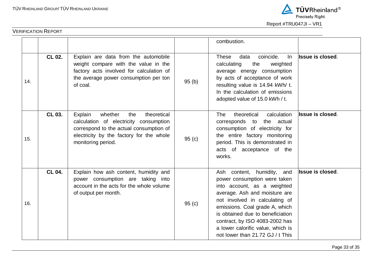

|     | <b>VERIFICATION REPORT</b> |                                                                                                                                                                                                 |       |                                                                                                                                                                                                                                                                                                                                               |                         |
|-----|----------------------------|-------------------------------------------------------------------------------------------------------------------------------------------------------------------------------------------------|-------|-----------------------------------------------------------------------------------------------------------------------------------------------------------------------------------------------------------------------------------------------------------------------------------------------------------------------------------------------|-------------------------|
|     |                            |                                                                                                                                                                                                 |       | combustion.                                                                                                                                                                                                                                                                                                                                   |                         |
| 14. | CL 02.                     | Explain are data from the automobile<br>weight compare with the value in the<br>factory acts involved for calculation of<br>the average power consumption per ton<br>of coal.                   | 95(b) | coincide.<br><b>These</b><br>data<br>ln<br>the<br>calculating<br>weighted<br>average energy consumption<br>by acts of acceptance of work<br>resulting value is 14.94 kWh/ t.<br>In the calculation of emissions<br>adopted value of 15.0 kWh / t.                                                                                             | Issue is closed.        |
| 15. | CL 03.                     | Explain<br>whether<br>theoretical<br>the<br>calculation of electricity consumption<br>correspond to the actual consumption of<br>electricity by the factory for the whole<br>monitoring period. | 95(c) | calculation<br>The<br>theoretical<br>corresponds to the actual<br>consumption of electricity for<br>the entire factory monitoring<br>period. This is demonstrated in<br>acts of acceptance of the<br>works.                                                                                                                                   | <b>Issue is closed.</b> |
| 16. | <b>CL 04.</b>              | Explain how ash content, humidity and<br>power consumption are taking into<br>account in the acts for the whole volume<br>of output per month.                                                  | 95(c) | Ash content, humidity, and<br>power consumption were taken<br>into account, as a weighted<br>average. Ash and moisture are<br>not involved in calculating of<br>emissions. Coal grade A, which<br>is obtained due to beneficiation<br>contract, by ISO 4083-2002 has<br>a lower calorific value, which is<br>not lower than 21.72 GJ / t This | <b>Issue is closed.</b> |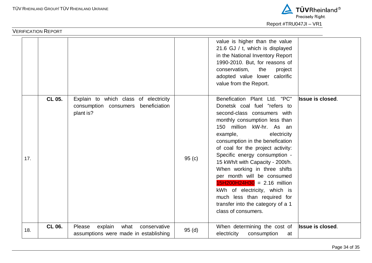

|     |        |                                                                                              |       | value is higher than the value<br>21.6 GJ / t, which is displayed<br>in the National Inventory Report<br>1990-2010. But, for reasons of<br>conservatism,<br>the<br>project<br>adopted value lower calorific<br>value from the Report.                                                                                                                                                                                                                                                                                                                      |                         |
|-----|--------|----------------------------------------------------------------------------------------------|-------|------------------------------------------------------------------------------------------------------------------------------------------------------------------------------------------------------------------------------------------------------------------------------------------------------------------------------------------------------------------------------------------------------------------------------------------------------------------------------------------------------------------------------------------------------------|-------------------------|
| 17. | CL 05. | Explain to which class of electricity<br>consumption consumers<br>beneficiation<br>plant is? | 95(c) | Benefication Plant Ltd. "PC"<br>Donetsk coal fuel "refers to<br>second-class consumers with<br>monthly consumption less than<br>150 million kW-hr. As an<br>example,<br>electricity<br>consumption in the benefication<br>of coal for the project activity:<br>Specific energy consumption -<br>15 kWh/t with Capacity - 200t/h.<br>When working in three shifts<br>per month will be consumed<br>$15H200H24H30 = 2.16$ million<br>kWh of electricity, which is<br>much less than required for<br>transfer into the category of a 1<br>class of consumers. | <b>Issue is closed.</b> |
| 18. | CL 06. | Please<br>explain<br>what<br>conservative<br>assumptions were made in establishing           | 95(d) | When determining the cost of<br>electricity<br>consumption<br>at                                                                                                                                                                                                                                                                                                                                                                                                                                                                                           | <b>Issue is closed.</b> |